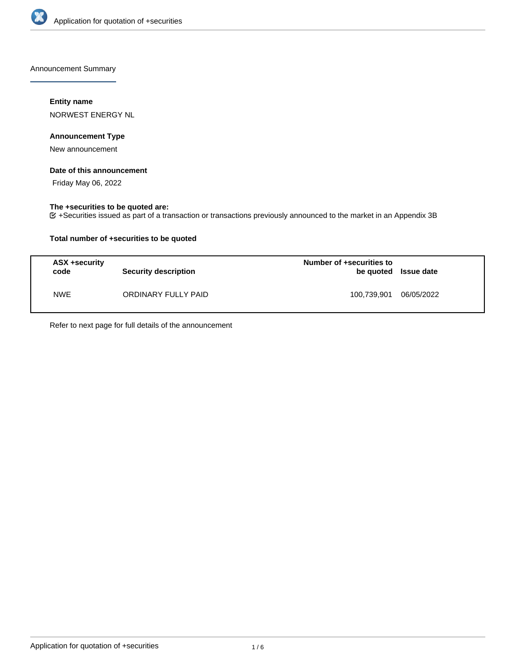

Announcement Summary

## **Entity name**

NORWEST ENERGY NL

## **Announcement Type**

New announcement

### **Date of this announcement**

Friday May 06, 2022

### **The +securities to be quoted are:**

+Securities issued as part of a transaction or transactions previously announced to the market in an Appendix 3B

## **Total number of +securities to be quoted**

| ASX +security<br>code | <b>Security description</b> | Number of +securities to<br>be quoted Issue date |            |
|-----------------------|-----------------------------|--------------------------------------------------|------------|
| <b>NWE</b>            | ORDINARY FULLY PAID         | 100,739,901                                      | 06/05/2022 |

Refer to next page for full details of the announcement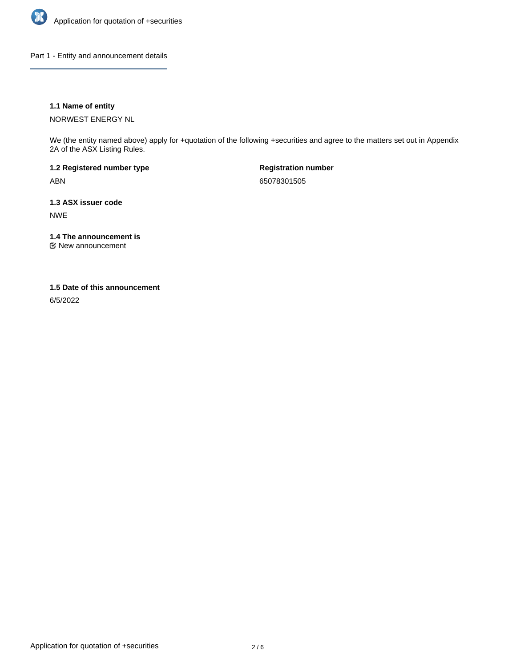

Part 1 - Entity and announcement details

## **1.1 Name of entity**

NORWEST ENERGY NL

We (the entity named above) apply for +quotation of the following +securities and agree to the matters set out in Appendix 2A of the ASX Listing Rules.

**1.2 Registered number type** ABN

**Registration number** 65078301505

**1.3 ASX issuer code** NWE

**1.4 The announcement is**

New announcement

### **1.5 Date of this announcement**

6/5/2022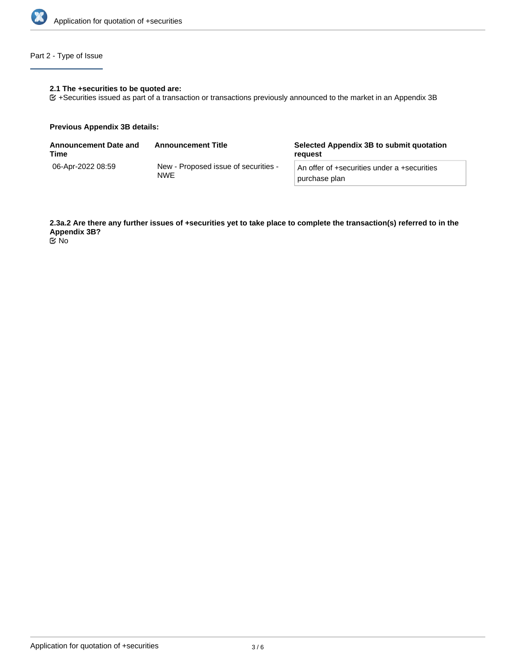

## Part 2 - Type of Issue

#### **2.1 The +securities to be quoted are:**

+Securities issued as part of a transaction or transactions previously announced to the market in an Appendix 3B

### **Previous Appendix 3B details:**

| <b>Announcement Date and</b><br>Time | <b>Announcement Title</b>                          | Selected Appendix 3B to submit quotation<br>reauest          |
|--------------------------------------|----------------------------------------------------|--------------------------------------------------------------|
| 06-Apr-2022 08:59                    | New - Proposed issue of securities -<br><b>NWE</b> | An offer of +securities under a +securities<br>purchase plan |

**2.3a.2 Are there any further issues of +securities yet to take place to complete the transaction(s) referred to in the Appendix 3B?**

No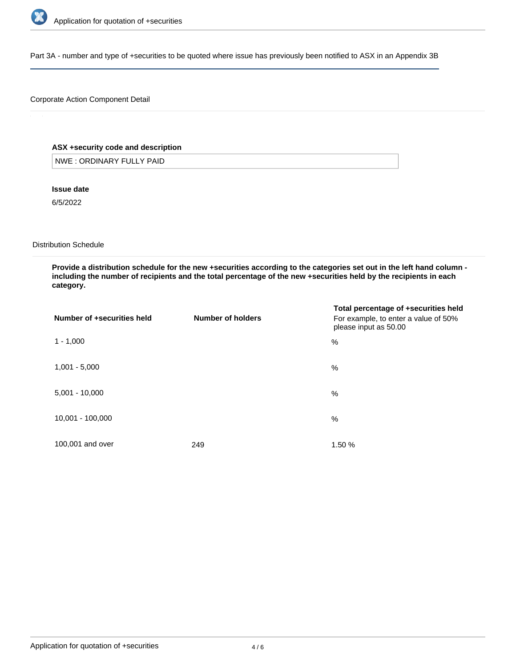

Part 3A - number and type of +securities to be quoted where issue has previously been notified to ASX in an Appendix 3B

## Corporate Action Component Detail

## **ASX +security code and description**

NWE : ORDINARY FULLY PAID

**Issue date**

6/5/2022

Distribution Schedule

**Provide a distribution schedule for the new +securities according to the categories set out in the left hand column including the number of recipients and the total percentage of the new +securities held by the recipients in each category.**

| Number of +securities held | Number of holders | Total percentage of +securities held<br>For example, to enter a value of 50%<br>please input as 50.00 |
|----------------------------|-------------------|-------------------------------------------------------------------------------------------------------|
| $1 - 1,000$                |                   | %                                                                                                     |
| $1,001 - 5,000$            |                   | %                                                                                                     |
| $5,001 - 10,000$           |                   | %                                                                                                     |
| 10,001 - 100,000           |                   | $\%$                                                                                                  |
| 100,001 and over           | 249               | 1.50 %                                                                                                |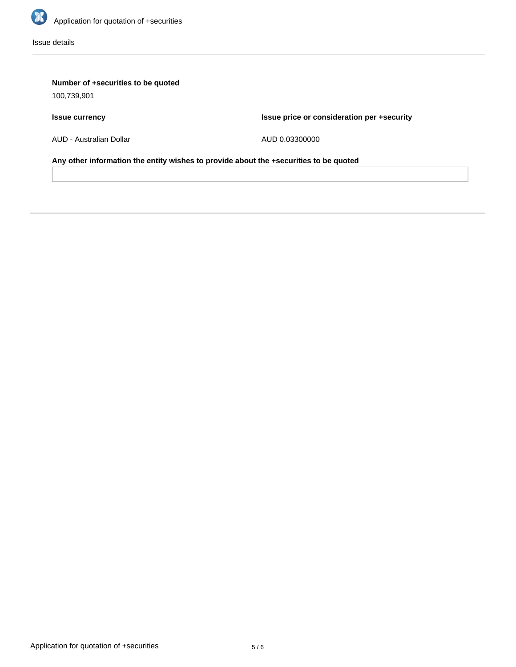

Issue details

# **Number of +securities to be quoted**

100,739,901

# **Issue currency**

**Issue price or consideration per +security**

AUD - Australian Dollar

AUD 0.03300000

**Any other information the entity wishes to provide about the +securities to be quoted**